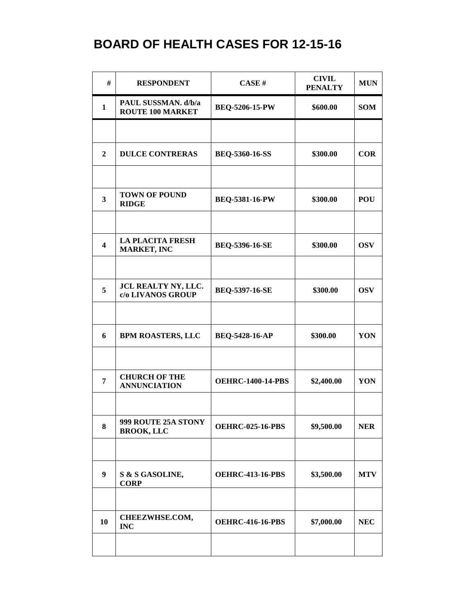| #                       | <b>RESPONDENT</b>                              | CASE#                    | <b>CIVIL</b><br><b>PENALTY</b> | <b>MUN</b> |
|-------------------------|------------------------------------------------|--------------------------|--------------------------------|------------|
| 1                       | PAUL SUSSMAN. d/b/a<br><b>ROUTE 100 MARKET</b> | <b>BEQ-5206-15-PW</b>    | \$600.00                       | <b>SOM</b> |
|                         |                                                |                          |                                |            |
| $\mathbf{2}$            | <b>DULCE CONTRERAS</b>                         | <b>BEQ-5360-16-SS</b>    | \$300.00                       | <b>COR</b> |
|                         |                                                |                          |                                |            |
| $\mathbf{3}$            | <b>TOWN OF POUND</b><br><b>RIDGE</b>           | <b>BEQ-5381-16-PW</b>    | \$300.00                       | <b>POU</b> |
|                         |                                                |                          |                                |            |
| $\overline{\mathbf{4}}$ | <b>LA PLACITA FRESH</b><br><b>MARKET, INC</b>  | BEQ-5396-16-SE           | \$300.00                       | <b>OSV</b> |
|                         |                                                |                          |                                |            |
| 5                       | JCL REALTY NY, LLC.<br>c/o LIVANOS GROUP       | <b>BEQ-5397-16-SE</b>    | \$300.00                       | <b>OSV</b> |
|                         |                                                |                          |                                |            |
| 6                       | <b>BPM ROASTERS, LLC</b>                       | <b>BEQ-5428-16-AP</b>    | \$300.00                       | YON        |
|                         |                                                |                          |                                |            |
| 7                       | <b>CHURCH OF THE</b><br><b>ANNUNCIATION</b>    | <b>OEHRC-1400-14-PBS</b> | \$2,400.00                     | YON        |
|                         |                                                |                          |                                |            |
| 8                       | 999 ROUTE 25A STONY<br><b>BROOK, LLC</b>       | <b>OEHRC-025-16-PBS</b>  | \$9,500.00                     | <b>NER</b> |
|                         |                                                |                          |                                |            |
| $\boldsymbol{9}$        | S & S GASOLINE,<br><b>CORP</b>                 | <b>OEHRC-413-16-PBS</b>  | \$3,500.00                     | <b>MTV</b> |
|                         |                                                |                          |                                |            |
| 10                      | CHEEZWHSE.COM,<br><b>INC</b>                   | <b>OEHRC-416-16-PBS</b>  | \$7,000.00                     | <b>NEC</b> |
|                         |                                                |                          |                                |            |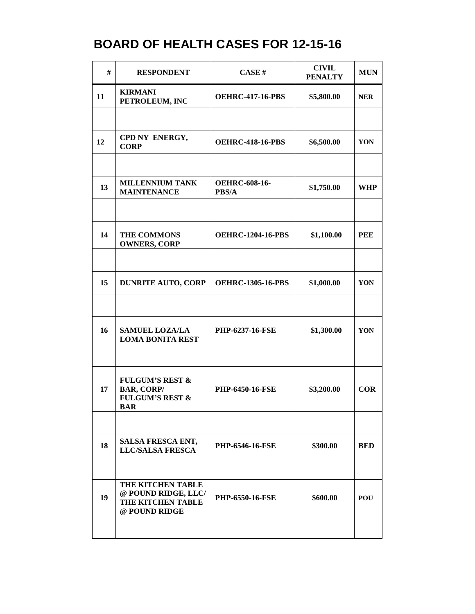| #  | <b>RESPONDENT</b>                                                                           | CASE#                                | <b>CIVIL</b><br><b>PENALTY</b> | <b>MUN</b> |
|----|---------------------------------------------------------------------------------------------|--------------------------------------|--------------------------------|------------|
| 11 | <b>KIRMANI</b><br>PETROLEUM, INC                                                            | <b>OEHRC-417-16-PBS</b>              | \$5,800.00                     | <b>NER</b> |
|    |                                                                                             |                                      |                                |            |
| 12 | CPD NY ENERGY,<br><b>CORP</b>                                                               | <b>OEHRC-418-16-PBS</b>              | \$6,500.00                     | YON        |
|    |                                                                                             |                                      |                                |            |
| 13 | <b>MILLENNIUM TANK</b><br><b>MAINTENANCE</b>                                                | <b>OEHRC-608-16-</b><br><b>PBS/A</b> | \$1,750.00                     | <b>WHP</b> |
|    |                                                                                             |                                      |                                |            |
| 14 | THE COMMONS<br><b>OWNERS, CORP</b>                                                          | <b>OEHRC-1204-16-PBS</b>             | \$1,100.00                     | <b>PEE</b> |
|    |                                                                                             |                                      |                                |            |
| 15 | <b>DUNRITE AUTO, CORP</b>                                                                   | <b>OEHRC-1305-16-PBS</b>             | \$1,000.00                     | YON        |
|    |                                                                                             |                                      |                                |            |
| 16 | <b>SAMUEL LOZA/LA</b><br><b>LOMA BONITA REST</b>                                            | <b>PHP-6237-16-FSE</b>               | \$1,300.00                     | YON        |
|    |                                                                                             |                                      |                                |            |
| 17 | <b>FULGUM'S REST &amp;</b><br><b>BAR, CORP/</b><br><b>FULGUM'S REST &amp;</b><br><b>BAR</b> | <b>PHP-6450-16-FSE</b>               | \$3,200.00                     | <b>COR</b> |
|    |                                                                                             |                                      |                                |            |
| 18 | SALSA FRESCA ENT,<br><b>LLC/SALSA FRESCA</b>                                                | <b>PHP-6546-16-FSE</b>               | \$300.00                       | <b>BED</b> |
|    |                                                                                             |                                      |                                |            |
| 19 | THE KITCHEN TABLE<br>@ POUND RIDGE, LLC/<br>THE KITCHEN TABLE<br>@ POUND RIDGE              | <b>PHP-6550-16-FSE</b>               | \$600.00                       | <b>POU</b> |
|    |                                                                                             |                                      |                                |            |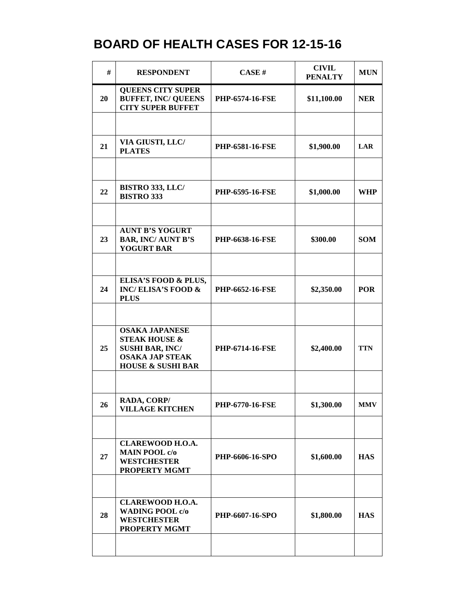| #  | <b>RESPONDENT</b>                                                                                                                     | CASE#                  | <b>CIVIL</b><br><b>PENALTY</b> | <b>MUN</b> |
|----|---------------------------------------------------------------------------------------------------------------------------------------|------------------------|--------------------------------|------------|
| 20 | <b>QUEENS CITY SUPER</b><br><b>BUFFET, INC/ QUEENS</b><br><b>CITY SUPER BUFFET</b>                                                    | <b>PHP-6574-16-FSE</b> | \$11,100.00                    | <b>NER</b> |
|    |                                                                                                                                       |                        |                                |            |
| 21 | <b>VIA GIUSTI, LLC/</b><br><b>PLATES</b>                                                                                              | <b>PHP-6581-16-FSE</b> | \$1,900.00                     | <b>LAR</b> |
|    |                                                                                                                                       |                        |                                |            |
| 22 | BISTRO 333, LLC/<br><b>BISTRO 333</b>                                                                                                 | <b>PHP-6595-16-FSE</b> | \$1,000.00                     | <b>WHP</b> |
|    |                                                                                                                                       |                        |                                |            |
| 23 | <b>AUNT B'S YOGURT</b><br><b>BAR, INC/AUNT B'S</b><br><b>YOGURT BAR</b>                                                               | PHP-6638-16-FSE        | \$300.00                       | <b>SOM</b> |
|    |                                                                                                                                       |                        |                                |            |
| 24 | ELISA'S FOOD & PLUS,<br><b>INC/ELISA'S FOOD &amp;</b><br><b>PLUS</b>                                                                  | <b>PHP-6652-16-FSE</b> | \$2,350.00                     | <b>POR</b> |
|    |                                                                                                                                       |                        |                                |            |
| 25 | <b>OSAKA JAPANESE</b><br><b>STEAK HOUSE &amp;</b><br><b>SUSHI BAR, INC/</b><br><b>OSAKA JAP STEAK</b><br><b>HOUSE &amp; SUSHI BAR</b> | PHP-6714-16-FSE        | \$2,400.00                     | <b>TTN</b> |
|    |                                                                                                                                       |                        |                                |            |
| 26 | RADA, CORP/<br><b>VILLAGE KITCHEN</b>                                                                                                 | <b>PHP-6770-16-FSE</b> | \$1,300.00                     | <b>MMV</b> |
|    |                                                                                                                                       |                        |                                |            |
| 27 | <b>CLAREWOOD H.O.A.</b><br><b>MAIN POOL c/o</b><br><b>WESTCHESTER</b><br>PROPERTY MGMT                                                | PHP-6606-16-SPO        | \$1,600.00                     | <b>HAS</b> |
|    |                                                                                                                                       |                        |                                |            |
| 28 | <b>CLAREWOOD H.O.A.</b><br><b>WADING POOL c/o</b><br><b>WESTCHESTER</b><br>PROPERTY MGMT                                              | PHP-6607-16-SPO        | \$1,800.00                     | <b>HAS</b> |
|    |                                                                                                                                       |                        |                                |            |